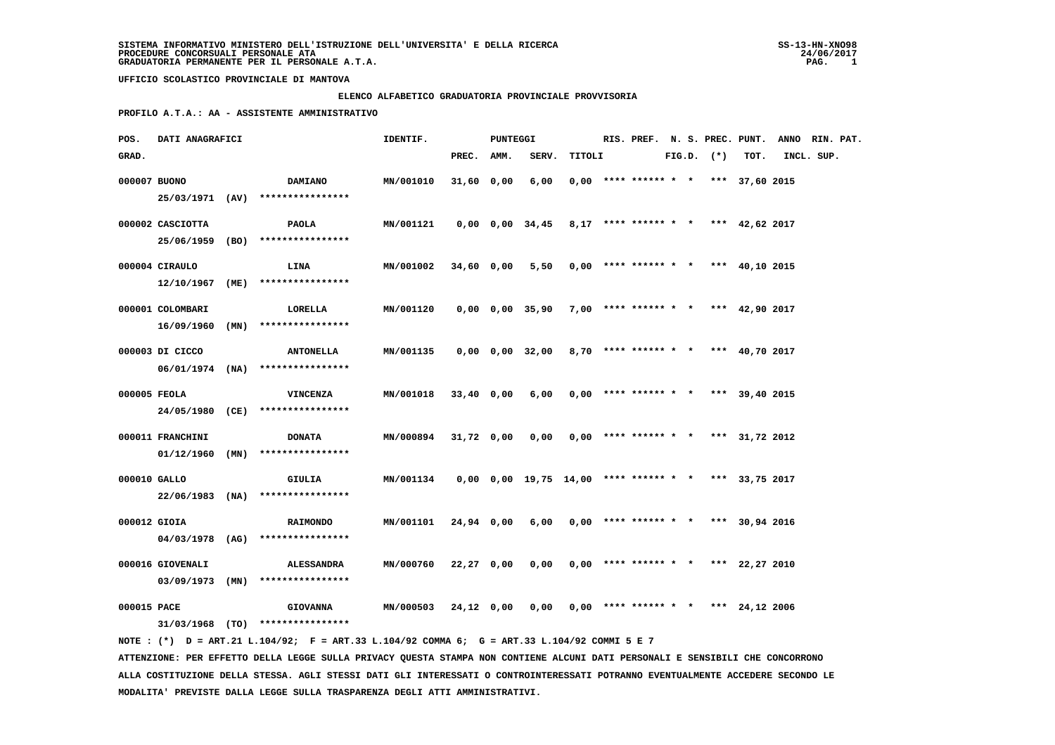#### **ELENCO ALFABETICO GRADUATORIA PROVINCIALE PROVVISORIA**

 **PROFILO A.T.A.: AA - ASSISTENTE AMMINISTRATIVO**

| POS.         | DATI ANAGRAFICI                       |      |                                                         | IDENTIF.  |              | PUNTEGGI |                                                            |        |                        |  |                | RIS. PREF. N. S. PREC. PUNT.          | ANNO RIN. PAT. |            |  |
|--------------|---------------------------------------|------|---------------------------------------------------------|-----------|--------------|----------|------------------------------------------------------------|--------|------------------------|--|----------------|---------------------------------------|----------------|------------|--|
| GRAD.        |                                       |      |                                                         |           | PREC.        | AMM.     | SERV.                                                      | TITOLI |                        |  | $FIG.D.$ $(*)$ | TOT.                                  |                | INCL. SUP. |  |
| 000007 BUONO |                                       |      | <b>DAMIANO</b><br>25/03/1971 (AV) ****************      | MN/001010 | 31,60 0,00   |          | 6,00                                                       |        | $0,00$ **** ****** * * |  |                | *** 37,60 2015                        |                |            |  |
|              | 000002 CASCIOTTA<br>25/06/1959 (BO)   |      | PAOLA<br>****************                               | MN/001121 |              |          | $0,00$ $0,00$ $34,45$                                      |        |                        |  |                | $8,17$ **** ****** * * *** 42,62 2017 |                |            |  |
|              | 000004 CIRAULO<br>$12/10/1967$ (ME)   |      | <b>LINA</b><br>****************                         | MN/001002 | 34,60 0,00   |          | 5,50                                                       |        |                        |  |                | $0,00$ **** ****** * * *** 40,10 2015 |                |            |  |
|              | 000001 COLOMBARI<br>16/09/1960        | (MN) | LORELLA<br>****************                             | MN/001120 |              |          | $0,00$ $0,00$ $35,90$                                      |        | $7.00$ **** ****** * * |  |                | *** $42,90$ 2017                      |                |            |  |
|              | 000003 DI CICCO                       |      | <b>ANTONELLA</b><br>$06/01/1974$ (NA) ****************  | MN/001135 |              |          | 0,00 0,00 32,00                                            |        |                        |  |                | 8,70 **** ****** * * *** 40,70 2017   |                |            |  |
| 000005 FEOLA | 24/05/1980 (CE)                       |      | <b>VINCENZA</b><br>****************                     | MN/001018 | 33,40 0,00   |          | 6,00                                                       |        |                        |  |                | $0,00$ **** ****** * * *** 39,40 2015 |                |            |  |
|              | 000011 FRANCHINI<br>$01/12/1960$ (MN) |      | <b>DONATA</b><br>****************                       | MN/000894 | 31,72 0,00   |          | 0,00                                                       |        | $0.00$ **** ****** * * |  |                | *** 31,72 2012                        |                |            |  |
| 000010 GALLO | 22/06/1983 (NA)                       |      | GIULIA<br>****************                              | MN/001134 |              |          | $0,00$ $0,00$ $19,75$ $14,00$ **** ****** * *** 33,75 2017 |        |                        |  |                |                                       |                |            |  |
| 000012 GIOIA | 04/03/1978 (AG)                       |      | <b>RAIMONDO</b><br>****************                     | MN/001101 | 24,94 0,00   |          | 6,00                                                       |        |                        |  |                | $0,00$ **** ****** * * *** 30,94 2016 |                |            |  |
|              | 000016 GIOVENALI                      |      | <b>ALESSANDRA</b><br>$03/09/1973$ (MN) **************** | MN/000760 | $22,27$ 0,00 |          | 0,00                                                       |        | $0,00$ **** ****** * * |  |                | *** $22,27$ 2010                      |                |            |  |
| 000015 PACE  |                                       |      | <b>GIOVANNA</b><br>$31/03/1968$ (TO) ****************   | MN/000503 | 24,12 0,00   |          | 0,00                                                       |        |                        |  |                | $0,00$ **** ****** * * *** 24,12 2006 |                |            |  |

 **NOTE : (\*) D = ART.21 L.104/92; F = ART.33 L.104/92 COMMA 6; G = ART.33 L.104/92 COMMI 5 E 7 ATTENZIONE: PER EFFETTO DELLA LEGGE SULLA PRIVACY QUESTA STAMPA NON CONTIENE ALCUNI DATI PERSONALI E SENSIBILI CHE CONCORRONO ALLA COSTITUZIONE DELLA STESSA. AGLI STESSI DATI GLI INTERESSATI O CONTROINTERESSATI POTRANNO EVENTUALMENTE ACCEDERE SECONDO LE MODALITA' PREVISTE DALLA LEGGE SULLA TRASPARENZA DEGLI ATTI AMMINISTRATIVI.**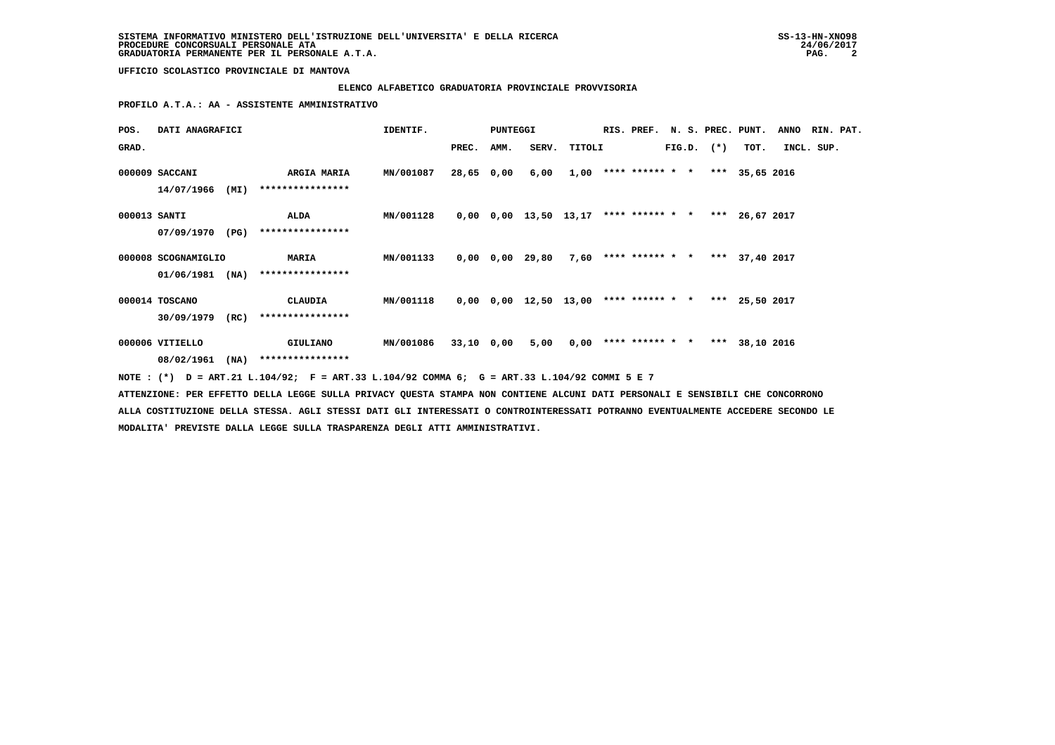# **ELENCO ALFABETICO GRADUATORIA PROVINCIALE PROVVISORIA**

 **PROFILO A.T.A.: AA - ASSISTENTE AMMINISTRATIVO**

| POS.         | DATI ANAGRAFICI     |      |                                                                                             | IDENTIF.  |            | <b>PUNTEGGI</b> |                                               |        | RIS. PREF. N. S. PREC. PUNT. |  |                |                | <b>ANNO</b> | RIN. PAT. |
|--------------|---------------------|------|---------------------------------------------------------------------------------------------|-----------|------------|-----------------|-----------------------------------------------|--------|------------------------------|--|----------------|----------------|-------------|-----------|
| GRAD.        |                     |      |                                                                                             |           | PREC.      | AMM.            | SERV.                                         | TITOLI |                              |  | $FIG.D.$ $(*)$ | TOT.           | INCL. SUP.  |           |
|              | 000009 SACCANI      |      | ARGIA MARIA                                                                                 | MN/001087 | 28,65 0,00 |                 | 6,00                                          |        | $1,00$ **** ****** * *       |  |                | *** 35,65 2016 |             |           |
|              | 14/07/1966          | (MI) | ****************                                                                            |           |            |                 |                                               |        |                              |  |                |                |             |           |
| 000013 SANTI |                     |      | ALDA                                                                                        | MN/001128 |            |                 | $0,00$ $0,00$ $13,50$ $13,17$ **** ****** * * |        |                              |  |                | *** 26,67 2017 |             |           |
|              | 07/09/1970          | (PG) | ****************                                                                            |           |            |                 |                                               |        |                              |  |                |                |             |           |
|              | 000008 SCOGNAMIGLIO |      | <b>MARIA</b>                                                                                | MN/001133 |            |                 | $0,00$ $0,00$ $29,80$                         |        | $7,60$ **** ****** * *       |  |                | *** 37,40 2017 |             |           |
|              | 01/06/1981          | (NA) | ****************                                                                            |           |            |                 |                                               |        |                              |  |                |                |             |           |
|              | 000014 TOSCANO      |      | CLAUDIA                                                                                     | MN/001118 |            |                 | $0,00$ $0,00$ $12,50$ $13,00$ **** ****** * * |        |                              |  |                | *** 25,50 2017 |             |           |
|              | 30/09/1979          | (RC) | ****************                                                                            |           |            |                 |                                               |        |                              |  |                |                |             |           |
|              | 000006 VITIELLO     |      | <b>GIULIANO</b>                                                                             | MN/001086 | 33,10 0,00 |                 | 5,00                                          | 0,00   | **** ****** * *              |  |                | *** 38,10 2016 |             |           |
|              | 08/02/1961          | (NA) | ****************                                                                            |           |            |                 |                                               |        |                              |  |                |                |             |           |
|              |                     |      | NOTE: (*) D = ART.21 L.104/92; F = ART.33 L.104/92 COMMA 6; G = ART.33 L.104/92 COMMI 5 E 7 |           |            |                 |                                               |        |                              |  |                |                |             |           |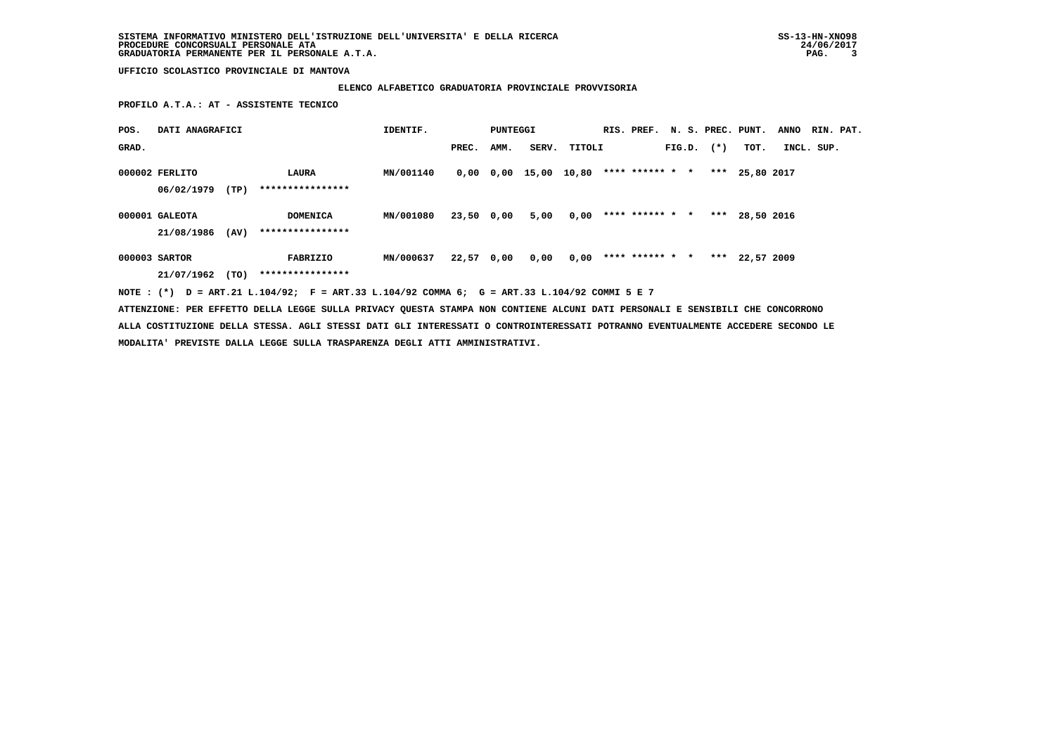# **ELENCO ALFABETICO GRADUATORIA PROVINCIALE PROVVISORIA**

 **PROFILO A.T.A.: AT - ASSISTENTE TECNICO**

| POS.  | DATI ANAGRAFICI |      |                                                                                             | IDENTIF.  |            | PUNTEGGI |                                               |                        |                 |  |                | RIS. PREF. N. S. PREC. PUNT. | <b>ANNO</b> | RIN. PAT. |
|-------|-----------------|------|---------------------------------------------------------------------------------------------|-----------|------------|----------|-----------------------------------------------|------------------------|-----------------|--|----------------|------------------------------|-------------|-----------|
| GRAD. |                 |      |                                                                                             |           | PREC.      | AMM.     | SERV.                                         | TITOLI                 |                 |  | $FIG.D.$ $(*)$ | тот.                         | INCL. SUP.  |           |
|       | 000002 FERLITO  |      | LAURA                                                                                       | MN/001140 |            |          | $0,00$ $0,00$ $15,00$ $10,80$ **** ****** * * |                        |                 |  |                | *** 25,80 2017               |             |           |
|       | 06/02/1979      | (TP) | ****************                                                                            |           |            |          |                                               |                        |                 |  |                |                              |             |           |
|       | 000001 GALEOTA  |      | DOMENICA                                                                                    | MN/001080 | 23,50 0,00 |          | 5,00                                          | 0,00                   | **** ****** * * |  |                | *** 28,50 2016               |             |           |
|       | 21/08/1986      | (AV) | ****************                                                                            |           |            |          |                                               |                        |                 |  |                |                              |             |           |
|       | 000003 SARTOR   |      | FABRIZIO                                                                                    | MN/000637 | 22,57 0,00 |          | 0,00                                          | $0,00$ **** ****** * * |                 |  |                | *** 22,57 2009               |             |           |
|       | 21/07/1962      | (TO) | ****************                                                                            |           |            |          |                                               |                        |                 |  |                |                              |             |           |
|       |                 |      | NOTE: (*) D = ART.21 L.104/92; F = ART.33 L.104/92 COMMA 6; G = ART.33 L.104/92 COMMI 5 E 7 |           |            |          |                                               |                        |                 |  |                |                              |             |           |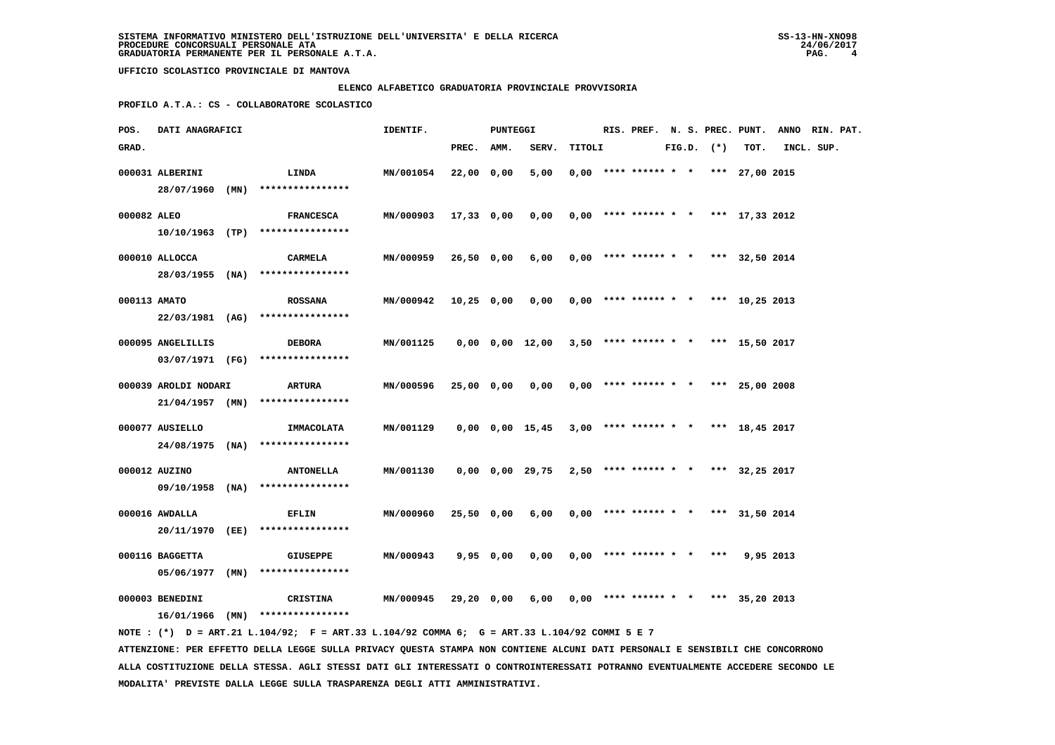### **ELENCO ALFABETICO GRADUATORIA PROVINCIALE PROVVISORIA**

 **PROFILO A.T.A.: CS - COLLABORATORE SCOLASTICO**

| POS.         | DATI ANAGRAFICI      |                                                                                             | IDENTIF.             |            | PUNTEGGI  |                                                             |        |  |  |                |                                              | RIS. PREF. N. S. PREC. PUNT. ANNO RIN. PAT. |  |
|--------------|----------------------|---------------------------------------------------------------------------------------------|----------------------|------------|-----------|-------------------------------------------------------------|--------|--|--|----------------|----------------------------------------------|---------------------------------------------|--|
| GRAD.        |                      |                                                                                             |                      | PREC. AMM. |           | SERV.                                                       | TITOLI |  |  | $FIG.D.$ $(*)$ | TOT.                                         | INCL. SUP.                                  |  |
|              | 000031 ALBERINI      | <b>LINDA</b>                                                                                | MN/001054            | 22,00 0,00 |           | 5,00                                                        |        |  |  |                | $0,00$ **** ****** * * *** 27,00 2015        |                                             |  |
|              |                      | 28/07/1960 (MN) ****************                                                            |                      |            |           |                                                             |        |  |  |                |                                              |                                             |  |
| 000082 ALEO  |                      |                                                                                             |                      | 17,33 0,00 |           |                                                             |        |  |  |                | $0,00$ **** ****** * * *** 17,33 2012        |                                             |  |
|              |                      | <b>FRANCESCA</b>                                                                            | <b>MN/000903</b>     |            |           | 0,00                                                        |        |  |  |                |                                              |                                             |  |
|              |                      | $10/10/1963$ (TP) ****************                                                          |                      |            |           |                                                             |        |  |  |                |                                              |                                             |  |
|              | 000010 ALLOCCA       | CARMELA                                                                                     | MN/000959            | 26,50 0,00 |           | 6,00                                                        |        |  |  |                | $0,00$ **** ****** * * *** 32,50 2014        |                                             |  |
|              |                      | 28/03/1955 (NA) ****************                                                            |                      |            |           |                                                             |        |  |  |                |                                              |                                             |  |
|              |                      |                                                                                             |                      |            |           |                                                             |        |  |  |                |                                              |                                             |  |
| 000113 AMATO |                      | <b>ROSSANA</b>                                                                              | MN/000942 10,25 0,00 |            |           |                                                             |        |  |  |                | $0,00$ $0,00$ **** ****** * * *** 10,25 2013 |                                             |  |
|              |                      | 22/03/1981 (AG) ****************                                                            |                      |            |           |                                                             |        |  |  |                |                                              |                                             |  |
|              | 000095 ANGELILLIS    | <b>DEBORA</b>                                                                               | MN/001125            |            |           | $0,00$ $0,00$ $12,00$ $3,50$ **** ****** * *** 15,50 2017   |        |  |  |                |                                              |                                             |  |
|              |                      | 03/07/1971 (FG) ****************                                                            |                      |            |           |                                                             |        |  |  |                |                                              |                                             |  |
|              |                      |                                                                                             |                      |            |           |                                                             |        |  |  |                |                                              |                                             |  |
|              | 000039 AROLDI NODARI | ARTURA                                                                                      | MN/000596            | 25,00 0,00 |           | 0,00                                                        |        |  |  |                | $0,00$ **** ****** * * *** 25,00 2008        |                                             |  |
|              |                      | $21/04/1957$ (MN) ****************                                                          |                      |            |           |                                                             |        |  |  |                |                                              |                                             |  |
|              | 000077 AUSIELLO      | IMMACOLATA                                                                                  | MN/001129            |            |           | $0,00$ $0,00$ $15,45$ $3,00$ **** ****** * * *** 18,45 2017 |        |  |  |                |                                              |                                             |  |
|              |                      | 24/08/1975 (NA) ****************                                                            |                      |            |           |                                                             |        |  |  |                |                                              |                                             |  |
|              |                      |                                                                                             |                      |            |           |                                                             |        |  |  |                |                                              |                                             |  |
|              | 000012 AUZINO        | <b>ANTONELLA</b>                                                                            | MN/001130            |            |           | 0,00 0,00 29,75                                             |        |  |  |                | $2,50$ **** ****** * * *** 32,25 2017        |                                             |  |
|              |                      | 09/10/1958 (NA) ****************                                                            |                      |            |           |                                                             |        |  |  |                |                                              |                                             |  |
|              | 000016 AWDALLA       | <b>EFLIN</b>                                                                                | MN/000960            | 25,50 0,00 |           | 6,00                                                        |        |  |  |                | $0,00$ **** ****** * * *** 31,50 2014        |                                             |  |
|              |                      | 20/11/1970 (EE) ****************                                                            |                      |            |           |                                                             |        |  |  |                |                                              |                                             |  |
|              |                      |                                                                                             |                      |            |           |                                                             |        |  |  |                |                                              |                                             |  |
|              | 000116 BAGGETTA      | <b>GIUSEPPE</b>                                                                             | MN/000943            |            | 9,95 0,00 | 0,00                                                        |        |  |  |                | $0,00$ **** ****** * * *** 9,95 2013         |                                             |  |
|              | 05/06/1977 (MN)      | ****************                                                                            |                      |            |           |                                                             |        |  |  |                |                                              |                                             |  |
|              |                      |                                                                                             |                      |            |           |                                                             |        |  |  |                |                                              |                                             |  |
|              | 000003 BENEDINI      | <b>CRISTINA</b>                                                                             | <b>MN/000945</b>     | 29,20 0,00 |           | 6,00                                                        |        |  |  |                | $0,00$ **** ****** * * *** 35,20 2013        |                                             |  |
|              |                      | $16/01/1966$ (MN) *****************                                                         |                      |            |           |                                                             |        |  |  |                |                                              |                                             |  |
|              |                      | NOTE: (*) D = ART.21 L.104/92; F = ART.33 L.104/92 COMMA 6; G = ART.33 L.104/92 COMMI 5 E 7 |                      |            |           |                                                             |        |  |  |                |                                              |                                             |  |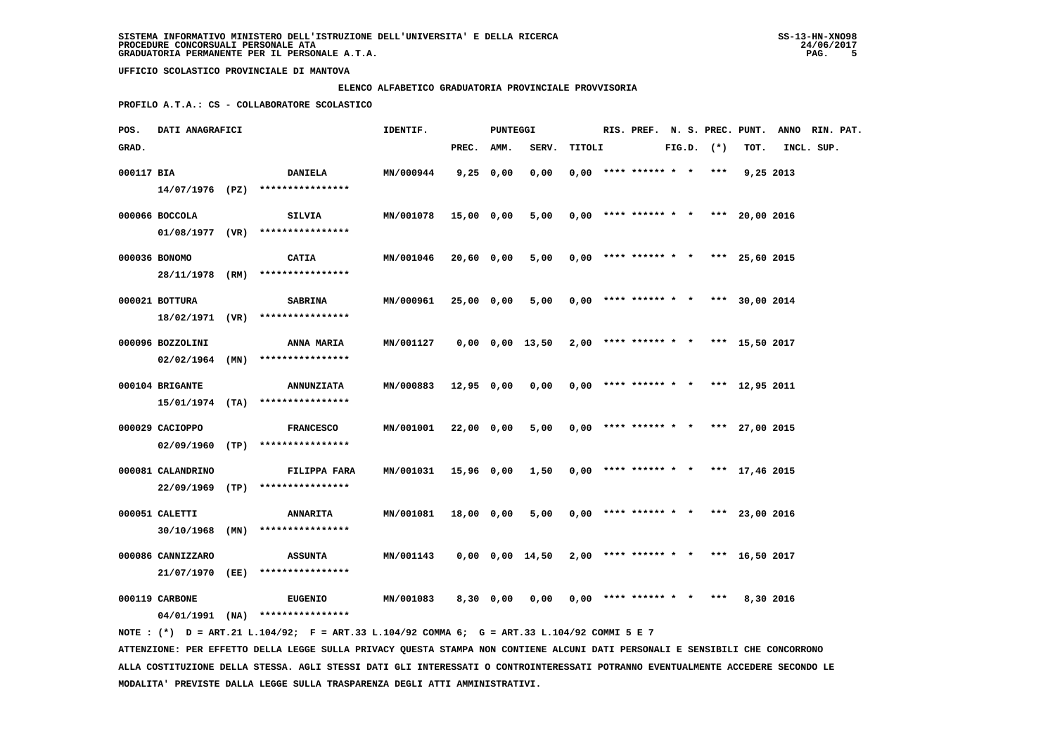### **ELENCO ALFABETICO GRADUATORIA PROVINCIALE PROVVISORIA**

 **PROFILO A.T.A.: CS - COLLABORATORE SCOLASTICO**

| POS.       | DATI ANAGRAFICI   |                                                                                             | IDENTIF.  |             | PUNTEGGI  |                                                           |        |                            |  |                | RIS. PREF. N. S. PREC. PUNT.          | ANNO RIN. PAT. |  |
|------------|-------------------|---------------------------------------------------------------------------------------------|-----------|-------------|-----------|-----------------------------------------------------------|--------|----------------------------|--|----------------|---------------------------------------|----------------|--|
| GRAD.      |                   |                                                                                             |           | PREC.       | AMM.      | SERV.                                                     | TITOLI |                            |  | $FIG.D.$ $(*)$ | TOT.                                  | INCL. SUP.     |  |
| 000117 BIA |                   | <b>DANIELA</b>                                                                              | MN/000944 | $9,25$ 0,00 |           | 0,00                                                      |        | $0,00$ **** ****** * * *** |  |                | 9,25 2013                             |                |  |
|            |                   | $14/07/1976$ (PZ) ****************                                                          |           |             |           |                                                           |        |                            |  |                |                                       |                |  |
|            | 000066 BOCCOLA    | <b>SILVIA</b>                                                                               | MN/001078 | 15,00 0,00  |           | 5,00                                                      |        |                            |  |                | $0,00$ **** ****** * * *** 20,00 2016 |                |  |
|            |                   | $01/08/1977$ (VR) ****************                                                          |           |             |           |                                                           |        |                            |  |                |                                       |                |  |
|            | 000036 BONOMO     | CATIA                                                                                       | MN/001046 | 20,60 0,00  |           | 5,00                                                      |        |                            |  |                | $0,00$ **** ****** * * *** 25,60 2015 |                |  |
|            |                   | 28/11/1978 (RM) ****************                                                            |           |             |           |                                                           |        |                            |  |                |                                       |                |  |
|            | 000021 BOTTURA    | <b>SABRINA</b>                                                                              | MN/000961 | 25,00 0,00  |           | 5,00                                                      |        |                            |  |                | $0,00$ **** ****** * * *** 30,00 2014 |                |  |
|            |                   | $18/02/1971$ (VR) *****************                                                         |           |             |           |                                                           |        |                            |  |                |                                       |                |  |
|            | 000096 BOZZOLINI  | <b>ANNA MARIA</b>                                                                           | MN/001127 |             |           | 0,00 0,00 13,50                                           |        |                            |  |                | $2,00$ **** ****** * * *** 15,50 2017 |                |  |
|            |                   | $02/02/1964$ (MN) ****************                                                          |           |             |           |                                                           |        |                            |  |                |                                       |                |  |
|            | 000104 BRIGANTE   | <b>ANNUNZIATA</b>                                                                           | MN/000883 | 12,95 0,00  |           | 0,00                                                      |        | $0,00$ **** ****** * *     |  |                | *** 12,95 2011                        |                |  |
|            |                   | $15/01/1974$ (TA) ****************                                                          |           |             |           |                                                           |        |                            |  |                |                                       |                |  |
|            | 000029 CACIOPPO   | <b>FRANCESCO</b>                                                                            | MN/001001 | 22,00 0,00  |           | 5,00                                                      |        |                            |  |                | $0,00$ **** ****** * * *** 27,00 2015 |                |  |
|            |                   | $02/09/1960$ (TP) ****************                                                          |           |             |           |                                                           |        |                            |  |                |                                       |                |  |
|            | 000081 CALANDRINO | FILIPPA FARA                                                                                | MN/001031 | 15,96 0,00  |           | 1,50                                                      |        |                            |  |                | $0,00$ **** ****** * * *** 17,46 2015 |                |  |
|            |                   | 22/09/1969 (TP) ****************                                                            |           |             |           |                                                           |        |                            |  |                |                                       |                |  |
|            | 000051 CALETTI    | <b>ANNARITA</b>                                                                             | MN/001081 | 18,00 0,00  |           | 5,00                                                      |        |                            |  |                | $0,00$ **** ****** * * *** 23,00 2016 |                |  |
|            | 30/10/1968 (MN)   | ****************                                                                            |           |             |           |                                                           |        |                            |  |                |                                       |                |  |
|            | 000086 CANNIZZARO | <b>ASSUNTA</b>                                                                              | MN/001143 |             |           | $0,00$ $0,00$ $14,50$ $2,00$ **** ****** * *** 16,50 2017 |        |                            |  |                |                                       |                |  |
|            | 21/07/1970 (EE)   | ****************                                                                            |           |             |           |                                                           |        |                            |  |                |                                       |                |  |
|            | 000119 CARBONE    | <b>EUGENIO</b>                                                                              | MN/001083 |             | 8,30 0,00 | 0,00                                                      |        | $0.00$ **** ****** * * *** |  |                | 8,30 2016                             |                |  |
|            |                   | 04/01/1991 (NA) ****************                                                            |           |             |           |                                                           |        |                            |  |                |                                       |                |  |
|            |                   | NOTE: (*) D = ART.21 L.104/92; F = ART.33 L.104/92 COMMA 6; G = ART.33 L.104/92 COMMI 5 E 7 |           |             |           |                                                           |        |                            |  |                |                                       |                |  |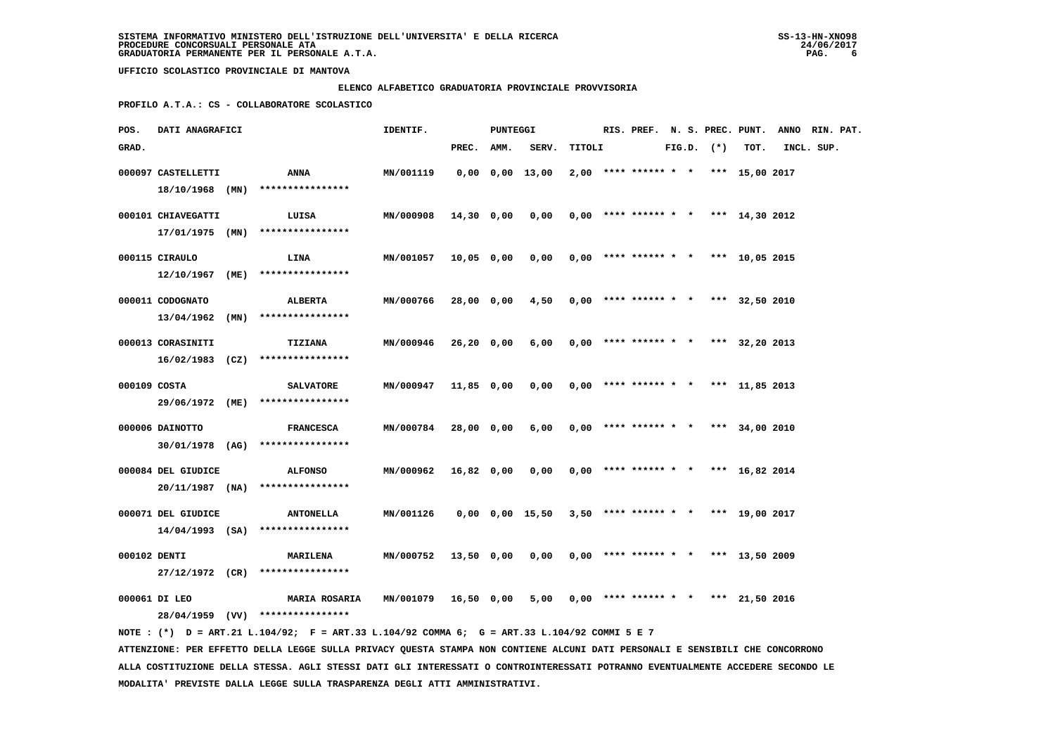### **ELENCO ALFABETICO GRADUATORIA PROVINCIALE PROVVISORIA**

 **PROFILO A.T.A.: CS - COLLABORATORE SCOLASTICO**

| POS.         | DATI ANAGRAFICI    |                                                                                             | IDENTIF.         |            | PUNTEGGI |                       |        |  |  |                |                                       | RIS. PREF. N. S. PREC. PUNT. ANNO RIN. PAT. |  |
|--------------|--------------------|---------------------------------------------------------------------------------------------|------------------|------------|----------|-----------------------|--------|--|--|----------------|---------------------------------------|---------------------------------------------|--|
| GRAD.        |                    |                                                                                             |                  | PREC. AMM. |          | SERV.                 | TITOLI |  |  | $FIG.D.$ $(*)$ | TOT.                                  | INCL. SUP.                                  |  |
|              | 000097 CASTELLETTI | ANNA                                                                                        | MN/001119        |            |          | $0,00$ $0,00$ $13,00$ |        |  |  |                | $2,00$ **** ****** * * *** 15,00 2017 |                                             |  |
|              | 18/10/1968 (MN)    | ****************                                                                            |                  |            |          |                       |        |  |  |                |                                       |                                             |  |
|              | 000101 CHIAVEGATTI | LUISA                                                                                       | MN/000908        | 14,30 0,00 |          | 0,00                  |        |  |  |                | $0,00$ **** ****** * * *** 14,30 2012 |                                             |  |
|              |                    | 17/01/1975 (MN) ****************                                                            |                  |            |          |                       |        |  |  |                |                                       |                                             |  |
|              |                    |                                                                                             |                  |            |          |                       |        |  |  |                |                                       |                                             |  |
|              | 000115 CIRAULO     | <b>LINA</b>                                                                                 | MN/001057        | 10,05 0,00 |          | 0,00                  |        |  |  |                | $0,00$ **** ****** * * *** 10,05 2015 |                                             |  |
|              | 12/10/1967 (ME)    | ****************                                                                            |                  |            |          |                       |        |  |  |                |                                       |                                             |  |
|              | 000011 CODOGNATO   | ALBERTA                                                                                     | MN/000766        | 28,00 0,00 |          | 4,50                  |        |  |  |                | $0,00$ **** ****** * * *** 32,50 2010 |                                             |  |
|              | $13/04/1962$ (MN)  | ****************                                                                            |                  |            |          |                       |        |  |  |                |                                       |                                             |  |
|              | 000013 CORASINITI  | TIZIANA                                                                                     | MN/000946        | 26,20 0,00 |          | 6,00                  |        |  |  |                | $0,00$ **** ****** * * *** 32,20 2013 |                                             |  |
|              |                    | $16/02/1983$ (CZ) ****************                                                          |                  |            |          |                       |        |  |  |                |                                       |                                             |  |
|              |                    |                                                                                             |                  |            |          |                       |        |  |  |                |                                       |                                             |  |
| 000109 COSTA |                    | <b>SALVATORE</b>                                                                            | MN/000947        | 11,85 0,00 |          | 0,00                  |        |  |  |                | $0,00$ **** ****** * * *** 11,85 2013 |                                             |  |
|              |                    | 29/06/1972 (ME) ****************                                                            |                  |            |          |                       |        |  |  |                |                                       |                                             |  |
|              | 000006 DAINOTTO    | <b>FRANCESCA</b>                                                                            | MN/000784        | 28,00 0,00 |          | 6,00                  |        |  |  |                | $0.00$ **** ****** * * *** 34,00 2010 |                                             |  |
|              |                    | 30/01/1978 (AG) ****************                                                            |                  |            |          |                       |        |  |  |                |                                       |                                             |  |
|              |                    |                                                                                             |                  |            |          |                       |        |  |  |                |                                       |                                             |  |
|              | 000084 DEL GIUDICE | <b>ALFONSO</b>                                                                              | MN/000962        | 16,82 0,00 |          | 0,00                  |        |  |  |                | $0,00$ **** ****** * * *** 16,82 2014 |                                             |  |
|              |                    | $20/11/1987$ (NA) ****************                                                          |                  |            |          |                       |        |  |  |                |                                       |                                             |  |
|              | 000071 DEL GIUDICE | <b>ANTONELLA</b>                                                                            | MN/001126        |            |          | 0,00 0,00 15,50       |        |  |  |                | $3,50$ **** ****** * * *** 19,00 2017 |                                             |  |
|              |                    | $14/04/1993$ (SA) ****************                                                          |                  |            |          |                       |        |  |  |                |                                       |                                             |  |
| 000102 DENTI |                    | <b>MARILENA</b>                                                                             | MN/000752        | 13,50 0,00 |          | 0,00                  |        |  |  |                | $0,00$ **** ****** * * *** 13,50 2009 |                                             |  |
|              |                    | 27/12/1972 (CR) ****************                                                            |                  |            |          |                       |        |  |  |                |                                       |                                             |  |
|              |                    |                                                                                             |                  |            |          |                       |        |  |  |                |                                       |                                             |  |
|              | 000061 DI LEO      | <b>MARIA ROSARIA</b>                                                                        | <b>MN/001079</b> | 16,50 0,00 |          | 5,00                  |        |  |  |                | $0,00$ **** ****** * * *** 21,50 2016 |                                             |  |
|              |                    | 28/04/1959 (VV) ****************                                                            |                  |            |          |                       |        |  |  |                |                                       |                                             |  |
|              |                    | NOTE: (*) D = ART.21 L.104/92; F = ART.33 L.104/92 COMMA 6; G = ART.33 L.104/92 COMMI 5 E 7 |                  |            |          |                       |        |  |  |                |                                       |                                             |  |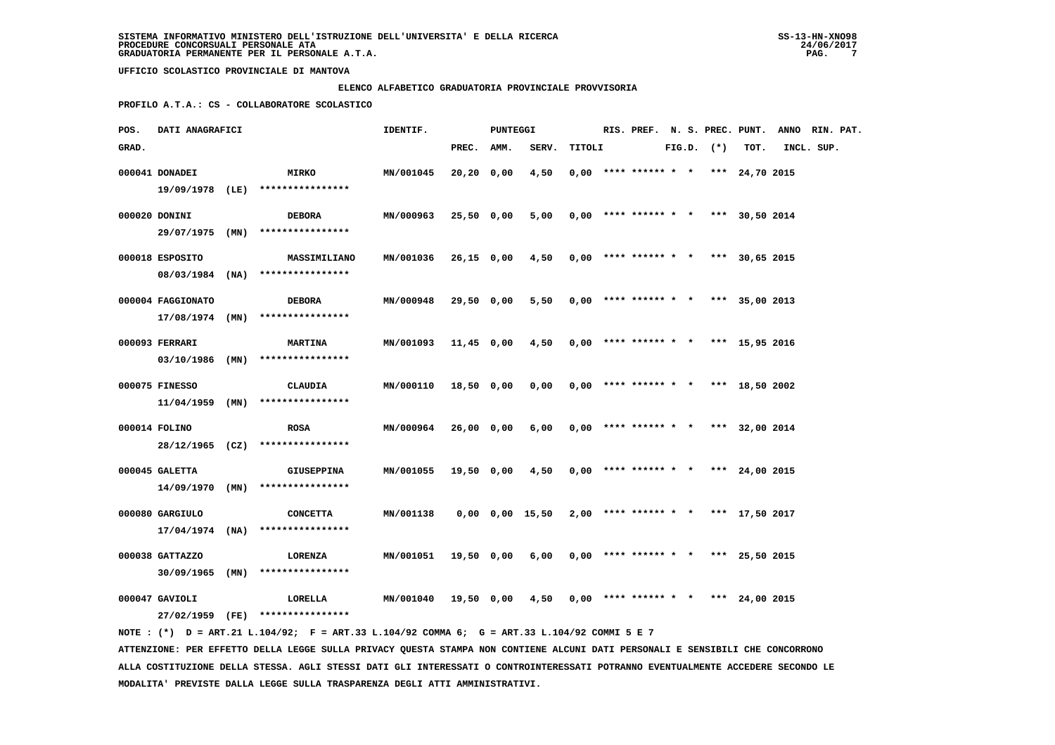### **ELENCO ALFABETICO GRADUATORIA PROVINCIALE PROVVISORIA**

 **PROFILO A.T.A.: CS - COLLABORATORE SCOLASTICO**

| POS.  | DATI ANAGRAFICI   |                                                                                             | IDENTIF.  |            | PUNTEGGI |                 |        |                        |  |                | RIS. PREF. N. S. PREC. PUNT.          | ANNO RIN. PAT. |  |
|-------|-------------------|---------------------------------------------------------------------------------------------|-----------|------------|----------|-----------------|--------|------------------------|--|----------------|---------------------------------------|----------------|--|
| GRAD. |                   |                                                                                             |           | PREC.      | AMM.     | SERV.           | TITOLI |                        |  | $FIG.D.$ $(*)$ | TOT.                                  | INCL. SUP.     |  |
|       | 000041 DONADEI    | <b>MIRKO</b>                                                                                | MN/001045 | 20,20 0,00 |          | 4,50            |        |                        |  |                | $0,00$ **** ****** * * *** 24,70 2015 |                |  |
|       |                   | 19/09/1978 (LE) ****************                                                            |           |            |          |                 |        |                        |  |                |                                       |                |  |
|       |                   |                                                                                             |           |            |          |                 |        |                        |  |                |                                       |                |  |
|       | 000020 DONINI     | <b>DEBORA</b>                                                                               | MN/000963 | 25,50 0,00 |          | 5,00            |        |                        |  |                | $0,00$ **** ****** * * *** 30,50 2014 |                |  |
|       | 29/07/1975 (MN)   | ****************                                                                            |           |            |          |                 |        |                        |  |                |                                       |                |  |
|       | 000018 ESPOSITO   | <b>MASSIMILIANO</b>                                                                         | MN/001036 | 26,15 0,00 |          | 4,50            |        |                        |  |                | $0,00$ **** ****** * * *** 30,65 2015 |                |  |
|       |                   | 08/03/1984 (NA) ****************                                                            |           |            |          |                 |        |                        |  |                |                                       |                |  |
|       |                   |                                                                                             |           |            |          |                 |        |                        |  |                |                                       |                |  |
|       | 000004 FAGGIONATO | <b>DEBORA</b>                                                                               | MN/000948 | 29,50 0,00 |          | 5,50            |        |                        |  |                | $0,00$ **** ****** * * *** 35,00 2013 |                |  |
|       | $17/08/1974$ (MN) | ****************                                                                            |           |            |          |                 |        |                        |  |                |                                       |                |  |
|       | 000093 FERRARI    | <b>MARTINA</b>                                                                              | MN/001093 | 11,45 0,00 |          | 4,50            |        |                        |  |                | $0,00$ **** ****** * * *** 15,95 2016 |                |  |
|       |                   | $03/10/1986$ (MN) *****************                                                         |           |            |          |                 |        |                        |  |                |                                       |                |  |
|       |                   |                                                                                             |           |            |          |                 |        |                        |  |                |                                       |                |  |
|       | 000075 FINESSO    | CLAUDIA                                                                                     | MN/000110 | 18,50 0,00 |          | 0,00            |        |                        |  |                | $0,00$ **** ****** * * *** 18,50 2002 |                |  |
|       |                   | $11/04/1959$ (MN) ****************                                                          |           |            |          |                 |        |                        |  |                |                                       |                |  |
|       | 000014 FOLINO     | <b>ROSA</b>                                                                                 | MN/000964 | 26,00 0,00 |          | 6,00            |        |                        |  |                | $0,00$ **** ****** * * *** 32,00 2014 |                |  |
|       |                   | 28/12/1965 (CZ) ****************                                                            |           |            |          |                 |        |                        |  |                |                                       |                |  |
|       |                   |                                                                                             |           |            |          |                 |        |                        |  |                |                                       |                |  |
|       | 000045 GALETTA    | <b>GIUSEPPINA</b>                                                                           | MN/001055 | 19,50 0,00 |          | 4,50            |        |                        |  |                | $0,00$ **** ****** * * *** 24,00 2015 |                |  |
|       |                   | $14/09/1970$ (MN) ****************                                                          |           |            |          |                 |        |                        |  |                |                                       |                |  |
|       | 000080 GARGIULO   | <b>CONCETTA</b>                                                                             | MN/001138 |            |          | 0,00 0,00 15,50 |        |                        |  |                | $2,00$ **** ****** * * *** 17,50 2017 |                |  |
|       | $17/04/1974$ (NA) | ****************                                                                            |           |            |          |                 |        |                        |  |                |                                       |                |  |
|       |                   |                                                                                             |           |            |          |                 |        |                        |  |                |                                       |                |  |
|       | 000038 GATTAZZO   | LORENZA                                                                                     | MN/001051 | 19,50 0,00 |          | 6,00            |        |                        |  |                | $0.00$ **** ****** * * *** 25.50 2015 |                |  |
|       | $30/09/1965$ (MN) | ****************                                                                            |           |            |          |                 |        |                        |  |                |                                       |                |  |
|       | 000047 GAVIOLI    | LORELLA                                                                                     | MN/001040 | 19,50 0,00 |          | 4,50            |        | $0,00$ **** ****** * * |  |                | *** 24,00 2015                        |                |  |
|       |                   | 27/02/1959 (FE) ****************                                                            |           |            |          |                 |        |                        |  |                |                                       |                |  |
|       |                   | NOTE: (*) D = ART.21 L.104/92; F = ART.33 L.104/92 COMMA 6; G = ART.33 L.104/92 COMMI 5 E 7 |           |            |          |                 |        |                        |  |                |                                       |                |  |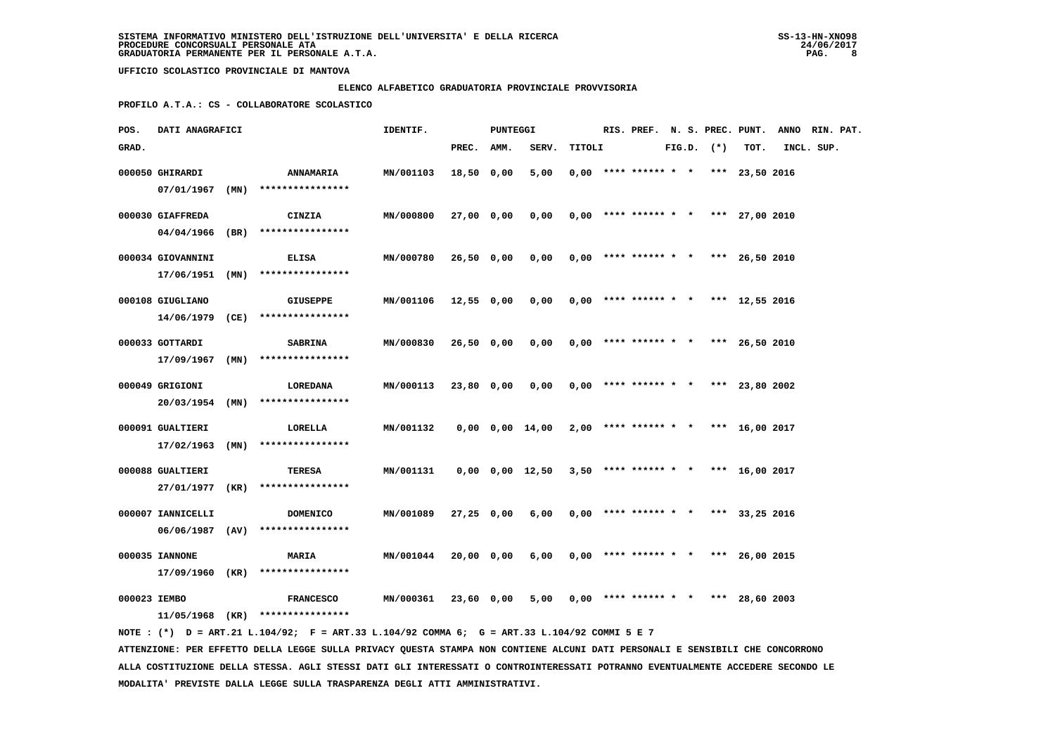### **ELENCO ALFABETICO GRADUATORIA PROVINCIALE PROVVISORIA**

 **PROFILO A.T.A.: CS - COLLABORATORE SCOLASTICO**

| POS.  | DATI ANAGRAFICI                   |      |                                      | IDENTIF.  |              | <b>PUNTEGGI</b> |                       |        | RIS. PREF.                            |  |                | N. S. PREC. PUNT. | ANNO RIN. PAT. |  |
|-------|-----------------------------------|------|--------------------------------------|-----------|--------------|-----------------|-----------------------|--------|---------------------------------------|--|----------------|-------------------|----------------|--|
| GRAD. |                                   |      |                                      |           | PREC.        | AMM.            | SERV.                 | TITOLI |                                       |  | $FIG.D.$ $(*)$ | TOT.              | INCL. SUP.     |  |
|       | 000050 GHIRARDI                   |      | <b>ANNAMARIA</b><br>**************** | MN/001103 | 18,50        | 0,00            | 5,00                  |        | $0,00$ **** ****** * *                |  |                | *** 23,50 2016    |                |  |
|       | 07/01/1967<br>000030 GIAFFREDA    | (MN) | CINZIA                               | MN/000800 | 27,00 0,00   |                 | 0,00                  |        | $0,00$ **** ****** * *                |  |                | *** 27,00 2010    |                |  |
|       | 04/04/1966                        | (BR) | ****************                     |           |              |                 |                       |        |                                       |  |                |                   |                |  |
|       | 000034 GIOVANNINI<br>17/06/1951   | (MN) | ELISA<br>****************            | MN/000780 | $26,50$ 0,00 |                 | 0,00                  |        | $0.00$ **** ****** * *                |  |                | *** 26,50 2010    |                |  |
|       | 000108 GIUGLIANO<br>14/06/1979    | (CE) | <b>GIUSEPPE</b><br>****************  | MN/001106 | 12,55 0,00   |                 | 0,00                  |        | $0.00$ **** ****** * *                |  |                | *** 12,55 2016    |                |  |
|       | 000033 GOTTARDI<br>17/09/1967     | (MN) | <b>SABRINA</b><br>****************   | MN/000830 | 26,50 0,00   |                 | 0,00                  |        | $0,00$ **** ****** * *                |  |                | *** 26,50 2010    |                |  |
|       | 000049 GRIGIONI<br>20/03/1954     | (MN) | LOREDANA<br>****************         | MN/000113 | 23,80 0,00   |                 | 0,00                  |        | $0,00$ **** ****** * * *** 23,80 2002 |  |                |                   |                |  |
|       | 000091 GUALTIERI<br>17/02/1963    | (MN) | LORELLA<br>****************          | MN/001132 |              |                 | $0,00$ $0,00$ $14,00$ |        | $2,00$ **** ****** * *                |  |                | *** $16,00$ 2017  |                |  |
|       | 000088 GUALTIERI<br>27/01/1977    | (KR) | TERESA<br>****************           | MN/001131 |              |                 | $0,00$ $0,00$ $12,50$ |        | $3,50$ **** ****** * *                |  |                | *** 16,00 2017    |                |  |
|       | 000007 IANNICELLI<br>06/06/1987   | (AV) | <b>DOMENICO</b><br>****************  | MN/001089 | $27,25$ 0,00 |                 | 6,00                  |        | $0.00$ **** ****** * *                |  |                | *** 33,25 2016    |                |  |
|       | 000035 IANNONE<br>17/09/1960 (KR) |      | <b>MARIA</b><br>****************     | MN/001044 | 20,00 0,00   |                 | 6,00                  |        | $0,00$ **** ****** * *                |  |                | *** 26,00 2015    |                |  |
|       | 000023 IEMBO<br>11/05/1968 (KR)   |      | <b>FRANCESCO</b><br>**************** | MN/000361 | 23,60 0,00   |                 | 5,00                  |        | $0,00$ **** ****** * *                |  | ***            | 28,60 2003        |                |  |

 **NOTE : (\*) D = ART.21 L.104/92; F = ART.33 L.104/92 COMMA 6; G = ART.33 L.104/92 COMMI 5 E 7 ATTENZIONE: PER EFFETTO DELLA LEGGE SULLA PRIVACY QUESTA STAMPA NON CONTIENE ALCUNI DATI PERSONALI E SENSIBILI CHE CONCORRONO ALLA COSTITUZIONE DELLA STESSA. AGLI STESSI DATI GLI INTERESSATI O CONTROINTERESSATI POTRANNO EVENTUALMENTE ACCEDERE SECONDO LE MODALITA' PREVISTE DALLA LEGGE SULLA TRASPARENZA DEGLI ATTI AMMINISTRATIVI.**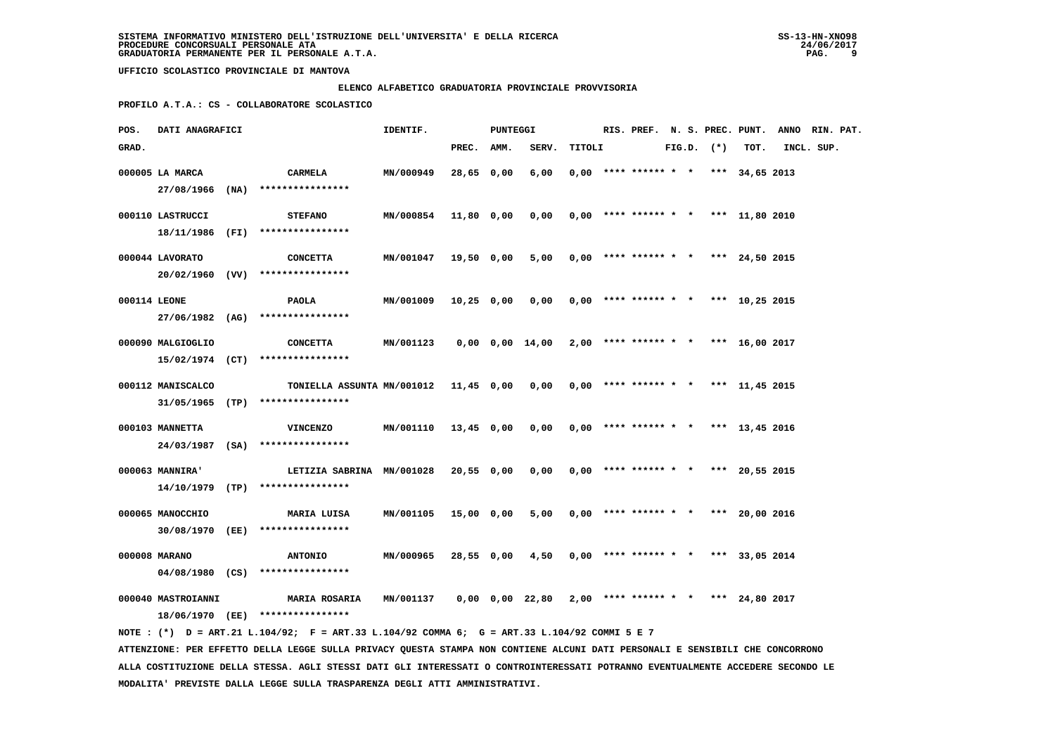# **ELENCO ALFABETICO GRADUATORIA PROVINCIALE PROVVISORIA**

 **PROFILO A.T.A.: CS - COLLABORATORE SCOLASTICO**

| POS.         | DATI ANAGRAFICI                                                                          |      |                                                                                                                                                                                                                                                                                                                                                  | IDENTIF.                            |                            | <b>PUNTEGGI</b> |                                       |        |                                                                            |  |                | RIS. PREF. N. S. PREC. PUNT.                       | ANNO RIN. PAT. |  |
|--------------|------------------------------------------------------------------------------------------|------|--------------------------------------------------------------------------------------------------------------------------------------------------------------------------------------------------------------------------------------------------------------------------------------------------------------------------------------------------|-------------------------------------|----------------------------|-----------------|---------------------------------------|--------|----------------------------------------------------------------------------|--|----------------|----------------------------------------------------|----------------|--|
| GRAD.        |                                                                                          |      |                                                                                                                                                                                                                                                                                                                                                  |                                     | PREC.                      | AMM.            | SERV.                                 | TITOLI |                                                                            |  | $FIG.D.$ $(*)$ | TOT.                                               | INCL. SUP.     |  |
|              | 000005 LA MARCA                                                                          |      | CARMELA                                                                                                                                                                                                                                                                                                                                          | MN/000949                           | 28,65 0,00                 |                 | 6,00                                  |        | $0,00$ **** ****** * *                                                     |  |                | *** $34,65$ 2013                                   |                |  |
|              | 27/08/1966                                                                               | (NA) | ****************                                                                                                                                                                                                                                                                                                                                 |                                     |                            |                 |                                       |        |                                                                            |  |                |                                                    |                |  |
|              |                                                                                          |      |                                                                                                                                                                                                                                                                                                                                                  |                                     |                            |                 |                                       |        |                                                                            |  |                |                                                    |                |  |
|              | 000110 LASTRUCCI<br>18/11/1986                                                           | (FI) | <b>STEFANO</b><br>****************                                                                                                                                                                                                                                                                                                               | MN/000854                           | 11,80 0,00                 |                 | 0,00                                  |        |                                                                            |  |                | $0,00$ **** ****** * * *** 11,80 2010              |                |  |
|              |                                                                                          |      |                                                                                                                                                                                                                                                                                                                                                  |                                     |                            |                 |                                       |        |                                                                            |  |                |                                                    |                |  |
|              | 000044 LAVORATO                                                                          |      | <b>CONCETTA</b>                                                                                                                                                                                                                                                                                                                                  | MN/001047                           | $19,50$ 0,00               |                 | 5,00                                  |        | $0,00$ **** ****** * *                                                     |  |                | *** 24,50 2015                                     |                |  |
|              |                                                                                          |      | $20/02/1960$ (VV) ****************                                                                                                                                                                                                                                                                                                               |                                     |                            |                 |                                       |        |                                                                            |  |                |                                                    |                |  |
| 000114 LEONE |                                                                                          |      | <b>PAOLA</b>                                                                                                                                                                                                                                                                                                                                     | MN/001009                           | $10,25$ 0,00               |                 | 0,00                                  |        | $0,00$ **** ****** * *                                                     |  |                | *** 10,25 2015                                     |                |  |
|              |                                                                                          |      | 27/06/1982 (AG) ****************                                                                                                                                                                                                                                                                                                                 |                                     |                            |                 |                                       |        |                                                                            |  |                |                                                    |                |  |
|              |                                                                                          |      |                                                                                                                                                                                                                                                                                                                                                  |                                     |                            |                 |                                       |        |                                                                            |  |                |                                                    |                |  |
|              |                                                                                          |      |                                                                                                                                                                                                                                                                                                                                                  |                                     |                            |                 |                                       |        |                                                                            |  |                |                                                    |                |  |
|              |                                                                                          |      |                                                                                                                                                                                                                                                                                                                                                  |                                     |                            |                 |                                       |        |                                                                            |  |                |                                                    |                |  |
|              | 000112 MANISCALCO                                                                        |      | TONIELLA ASSUNTA MN/001012                                                                                                                                                                                                                                                                                                                       |                                     | $11,45$ 0,00               |                 | 0,00                                  |        | $0.00$ **** ****** * *                                                     |  |                | *** 11,45 2015                                     |                |  |
|              |                                                                                          |      | $31/05/1965$ (TP) ****************                                                                                                                                                                                                                                                                                                               |                                     |                            |                 |                                       |        |                                                                            |  |                |                                                    |                |  |
|              |                                                                                          |      |                                                                                                                                                                                                                                                                                                                                                  |                                     |                            |                 |                                       |        |                                                                            |  |                |                                                    |                |  |
|              | 24/03/1987 (SA)                                                                          |      | ****************                                                                                                                                                                                                                                                                                                                                 |                                     |                            |                 |                                       |        |                                                                            |  |                |                                                    |                |  |
|              |                                                                                          |      |                                                                                                                                                                                                                                                                                                                                                  |                                     |                            |                 |                                       |        |                                                                            |  |                |                                                    |                |  |
|              | 000063 MANNIRA'                                                                          |      | LETIZIA SABRINA MN/001028                                                                                                                                                                                                                                                                                                                        |                                     | 20,550,00                  |                 | 0,00                                  |        | $0,00$ **** ****** * *                                                     |  | $* * *$        | 20,55 2015                                         |                |  |
|              |                                                                                          |      |                                                                                                                                                                                                                                                                                                                                                  |                                     |                            |                 |                                       |        |                                                                            |  |                |                                                    |                |  |
|              | 000065 MANOCCHIO                                                                         |      | MARIA LUISA                                                                                                                                                                                                                                                                                                                                      | MN/001105                           | 15,00 0,00                 |                 | 5,00                                  |        | $0,00$ **** ****** * *                                                     |  | ***            | 20,00 2016                                         |                |  |
|              | 30/08/1970 (EE)                                                                          |      | ****************                                                                                                                                                                                                                                                                                                                                 |                                     |                            |                 |                                       |        |                                                                            |  |                |                                                    |                |  |
|              |                                                                                          |      |                                                                                                                                                                                                                                                                                                                                                  |                                     |                            |                 |                                       |        |                                                                            |  |                |                                                    |                |  |
|              |                                                                                          |      | ****************                                                                                                                                                                                                                                                                                                                                 |                                     |                            |                 |                                       |        |                                                                            |  |                |                                                    |                |  |
|              |                                                                                          |      |                                                                                                                                                                                                                                                                                                                                                  |                                     |                            |                 |                                       |        |                                                                            |  |                |                                                    |                |  |
|              | 000040 MASTROIANNI                                                                       |      | <b>MARIA ROSARIA</b>                                                                                                                                                                                                                                                                                                                             | MN/001137                           |                            |                 | $0,00$ $0,00$ $22,80$                 |        | $2,00$ **** ****** * *                                                     |  |                | *** 24,80 2017                                     |                |  |
|              |                                                                                          |      | 18/06/1970 (EE) ****************                                                                                                                                                                                                                                                                                                                 |                                     |                            |                 |                                       |        |                                                                            |  |                |                                                    |                |  |
|              |                                                                                          |      |                                                                                                                                                                                                                                                                                                                                                  |                                     |                            |                 |                                       |        |                                                                            |  |                |                                                    |                |  |
|              |                                                                                          |      | ATTENZIONE: PER EFFETTO DELLA LEGGE SULLA PRIVACY QUESTA STAMPA NON CONTIENE ALCUNI DATI PERSONALI E SENSIBILI CHE CONCORRONO                                                                                                                                                                                                                    |                                     |                            |                 |                                       |        |                                                                            |  |                |                                                    |                |  |
|              | 000090 MALGIOGLIO<br>000103 MANNETTA<br>14/10/1979<br>000008 MARANO<br>$04/08/1980$ (CS) | (TP) | <b>CONCETTA</b><br>$15/02/1974$ (CT) ****************<br><b>VINCENZO</b><br>****************<br><b>ANTONIO</b><br>NOTE: (*) D = ART.21 L.104/92; F = ART.33 L.104/92 COMMA 6; G = ART.33 L.104/92 COMMI 5 E 7<br>ALLA COSTITUZIONE DELLA STESSA. AGLI STESSI DATI GLI INTERESSATI O CONTROINTERESSATI POTRANNO EVENTUALMENTE ACCEDERE SECONDO LE | MN/001123<br>MN/001110<br>MN/000965 | $13,45$ 0,00<br>28,55 0,00 |                 | $0,00$ $0,00$ $14,00$<br>0,00<br>4,50 |        | $2,00$ **** ****** * *<br>$0,00$ **** ****** * *<br>$0,00$ **** ****** * * |  |                | *** 16,00 2017<br>*** 13,45 2016<br>*** 33,05 2014 |                |  |

 **MODALITA' PREVISTE DALLA LEGGE SULLA TRASPARENZA DEGLI ATTI AMMINISTRATIVI.**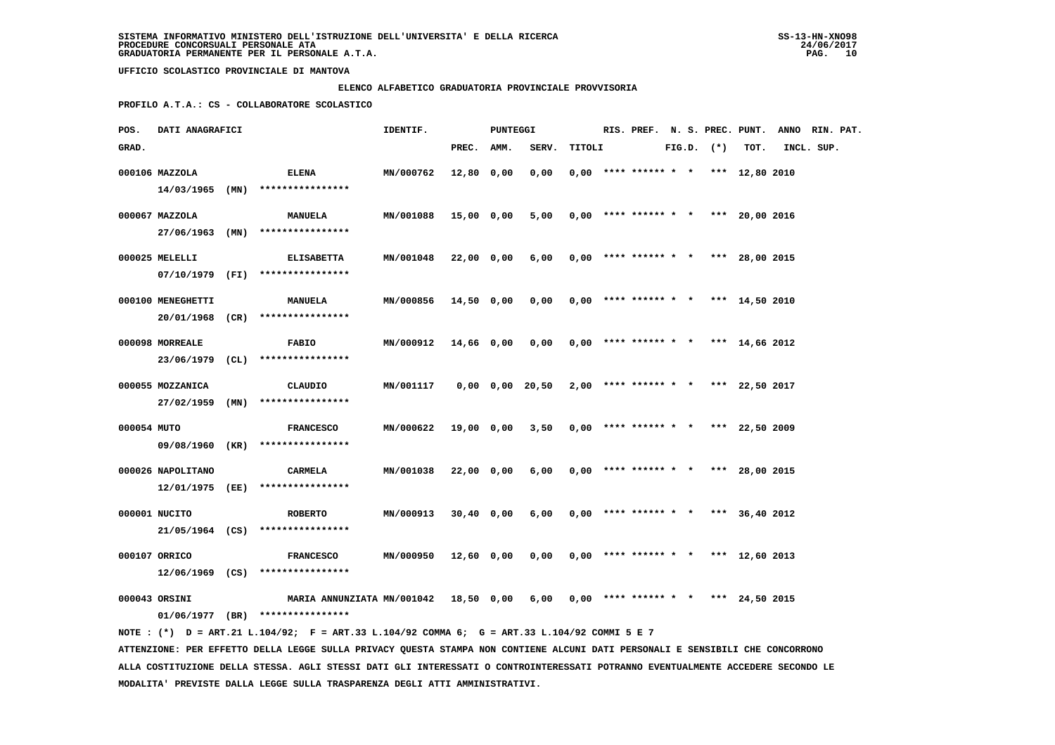# **ELENCO ALFABETICO GRADUATORIA PROVINCIALE PROVVISORIA**

 **PROFILO A.T.A.: CS - COLLABORATORE SCOLASTICO**

| POS.        | DATI ANAGRAFICI   |                                                                                                                               | IDENTIF.  |              | PUNTEGGI |                       |        |                        |  |                | RIS. PREF. N. S. PREC. PUNT. | ANNO RIN. PAT. |  |
|-------------|-------------------|-------------------------------------------------------------------------------------------------------------------------------|-----------|--------------|----------|-----------------------|--------|------------------------|--|----------------|------------------------------|----------------|--|
| GRAD.       |                   |                                                                                                                               |           | PREC. AMM.   |          | SERV.                 | TITOLI |                        |  | $FIG.D.$ $(*)$ | TOT.                         | INCL. SUP.     |  |
|             | 000106 MAZZOLA    | ELENA                                                                                                                         | MN/000762 | 12,80        | 0,00     | 0,00                  |        | $0,00$ **** ****** * * |  |                | *** 12,80 2010               |                |  |
|             | $14/03/1965$ (MN) | ****************                                                                                                              |           |              |          |                       |        |                        |  |                |                              |                |  |
|             |                   |                                                                                                                               |           |              |          |                       |        |                        |  |                |                              |                |  |
|             | 000067 MAZZOLA    | <b>MANUELA</b>                                                                                                                | MN/001088 | 15,00 0,00   |          | 5,00                  |        | $0,00$ **** ****** * * |  |                | *** 20,00 2016               |                |  |
|             | 27/06/1963 (MN)   | ****************                                                                                                              |           |              |          |                       |        |                        |  |                |                              |                |  |
|             | 000025 MELELLI    | <b>ELISABETTA</b>                                                                                                             | MN/001048 | 22,00 0,00   |          | 6,00                  |        | $0,00$ **** ****** * * |  |                | *** 28,00 2015               |                |  |
|             | 07/10/1979 (FI)   | ****************                                                                                                              |           |              |          |                       |        |                        |  |                |                              |                |  |
|             |                   |                                                                                                                               |           |              |          |                       |        |                        |  |                |                              |                |  |
|             | 000100 MENEGHETTI | <b>MANUELA</b>                                                                                                                | MN/000856 | $14,50$ 0,00 |          | 0,00                  |        | $0,00$ **** ****** * * |  |                | *** 14,50 2010               |                |  |
|             | 20/01/1968 (CR)   | ****************                                                                                                              |           |              |          |                       |        |                        |  |                |                              |                |  |
|             | 000098 MORREALE   | <b>FABIO</b>                                                                                                                  | MN/000912 | 14,66 0,00   |          | 0,00                  |        | $0,00$ **** ****** * * |  |                | *** 14,66 2012               |                |  |
|             | $23/06/1979$ (CL) | ****************                                                                                                              |           |              |          |                       |        |                        |  |                |                              |                |  |
|             | 000055 MOZZANICA  | CLAUDIO                                                                                                                       | MN/001117 |              |          | $0,00$ $0,00$ $20,50$ |        | $2,00$ **** ****** * * |  |                | *** 22,50 2017               |                |  |
|             | 27/02/1959 (MN)   | ****************                                                                                                              |           |              |          |                       |        |                        |  |                |                              |                |  |
|             |                   |                                                                                                                               |           |              |          |                       |        |                        |  |                |                              |                |  |
| 000054 MUTO |                   | <b>FRANCESCO</b>                                                                                                              | MN/000622 | 19,00 0,00   |          | 3,50                  |        | $0,00$ **** ****** * * |  |                | *** 22,50 2009               |                |  |
|             | 09/08/1960 (KR)   | ****************                                                                                                              |           |              |          |                       |        |                        |  |                |                              |                |  |
|             | 000026 NAPOLITANO | <b>CARMELA</b>                                                                                                                | MN/001038 | 22,00 0,00   |          | 6,00                  |        | $0,00$ **** ****** * * |  |                | *** 28,00 2015               |                |  |
|             | 12/01/1975 (EE)   | ****************                                                                                                              |           |              |          |                       |        |                        |  |                |                              |                |  |
|             |                   |                                                                                                                               |           |              |          |                       |        |                        |  |                |                              |                |  |
|             | 000001 NUCITO     | <b>ROBERTO</b>                                                                                                                | MN/000913 | $30,40$ 0,00 |          | 6,00                  |        | $0,00$ **** ****** * * |  |                | *** 36,40 2012               |                |  |
|             | 21/05/1964 (CS)   | ****************                                                                                                              |           |              |          |                       |        |                        |  |                |                              |                |  |
|             | 000107 ORRICO     | <b>FRANCESCO</b>                                                                                                              | MN/000950 | 12,60 0,00   |          | 0,00                  |        | $0,00$ **** ****** * * |  |                | *** 12,60 2013               |                |  |
|             | 12/06/1969 (CS)   | ****************                                                                                                              |           |              |          |                       |        |                        |  |                |                              |                |  |
|             |                   |                                                                                                                               |           |              |          |                       |        |                        |  |                |                              |                |  |
|             | 000043 ORSINI     | MARIA ANNUNZIATA MN/001042                                                                                                    |           | 18,50 0,00   |          | 6,00                  |        | $0,00$ **** ****** * * |  |                | *** 24,50 2015               |                |  |
|             |                   | $01/06/1977$ (BR) ****************                                                                                            |           |              |          |                       |        |                        |  |                |                              |                |  |
|             |                   | NOTE : (*) D = ART.21 L.104/92; F = ART.33 L.104/92 COMMA 6; G = ART.33 L.104/92 COMMI 5 E 7                                  |           |              |          |                       |        |                        |  |                |                              |                |  |
|             |                   | ATTENZIONE: PER EFFETTO DELLA LEGGE SULLA PRIVACY QUESTA STAMPA NON CONTIENE ALCUNI DATI PERSONALI E SENSIBILI CHE CONCORRONO |           |              |          |                       |        |                        |  |                |                              |                |  |

 **ALLA COSTITUZIONE DELLA STESSA. AGLI STESSI DATI GLI INTERESSATI O CONTROINTERESSATI POTRANNO EVENTUALMENTE ACCEDERE SECONDO LE MODALITA' PREVISTE DALLA LEGGE SULLA TRASPARENZA DEGLI ATTI AMMINISTRATIVI.**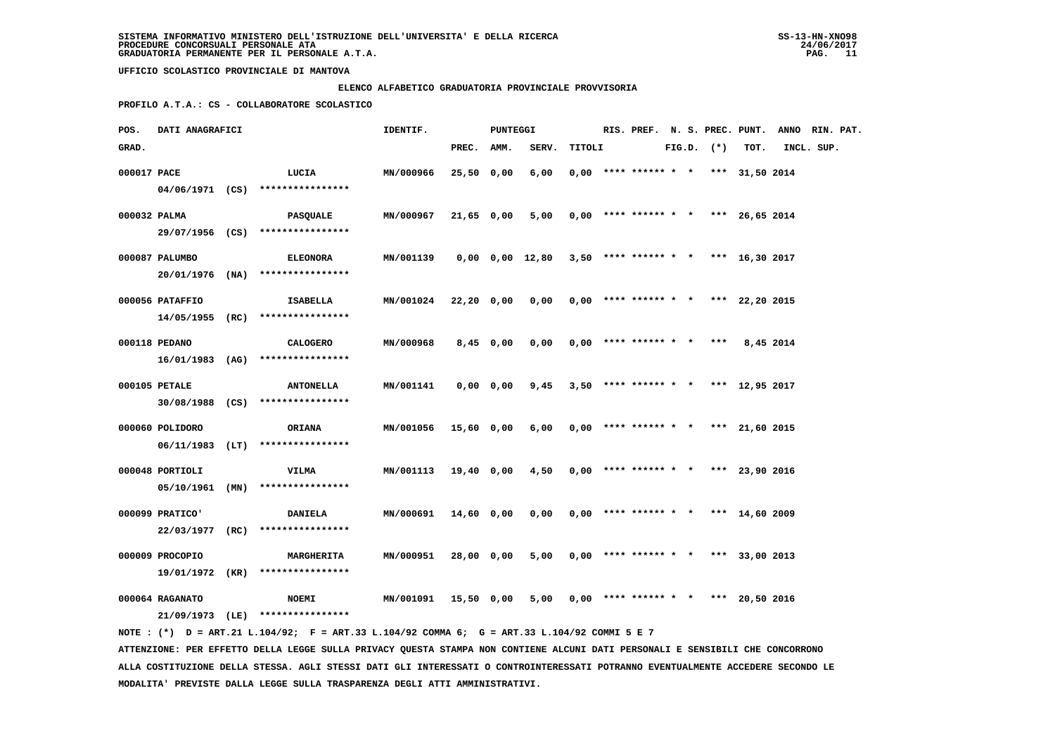### **ELENCO ALFABETICO GRADUATORIA PROVINCIALE PROVVISORIA**

 **PROFILO A.T.A.: CS - COLLABORATORE SCOLASTICO**

| POS.         | DATI ANAGRAFICI |                                                                                             | IDENTIF.         |              | PUNTEGGI    |                                                             |        |                                       |  |                |           | RIS. PREF. N. S. PREC. PUNT. ANNO RIN. PAT. |  |
|--------------|-----------------|---------------------------------------------------------------------------------------------|------------------|--------------|-------------|-------------------------------------------------------------|--------|---------------------------------------|--|----------------|-----------|---------------------------------------------|--|
| GRAD.        |                 |                                                                                             |                  | PREC. AMM.   |             | SERV.                                                       | TITOLI |                                       |  | $FIG.D.$ $(*)$ | TOT.      | INCL. SUP.                                  |  |
| 000017 PACE  |                 | LUCIA                                                                                       | MN/000966        | $25,50$ 0,00 |             | 6,00                                                        |        | $0,00$ **** ****** * * *** 31,50 2014 |  |                |           |                                             |  |
|              |                 | $04/06/1971$ (CS) *****************                                                         |                  |              |             |                                                             |        |                                       |  |                |           |                                             |  |
| 000032 PALMA |                 | <b>PASQUALE</b>                                                                             | MN/000967        | 21,65 0,00   |             | 5,00                                                        |        | $0,00$ **** ****** * * *** 26,65 2014 |  |                |           |                                             |  |
|              |                 | 29/07/1956 (CS) ****************                                                            |                  |              |             |                                                             |        |                                       |  |                |           |                                             |  |
|              | 000087 PALUMBO  | <b>ELEONORA</b>                                                                             | MN/001139        |              |             | $0,00$ $0,00$ $12,80$ $3,50$ **** ****** * * *** 16,30 2017 |        |                                       |  |                |           |                                             |  |
|              |                 | 20/01/1976 (NA) ****************                                                            |                  |              |             |                                                             |        |                                       |  |                |           |                                             |  |
|              |                 |                                                                                             |                  |              |             |                                                             |        |                                       |  |                |           |                                             |  |
|              | 000056 PATAFFIO | ISABELLA<br>$14/05/1955$ (RC) *****************                                             | MN/001024        | 22,20 0,00   |             | 0.00                                                        |        | $0.00$ **** ****** * * *** 22.20 2015 |  |                |           |                                             |  |
|              |                 |                                                                                             |                  |              |             |                                                             |        |                                       |  |                |           |                                             |  |
|              | 000118 PEDANO   | <b>CALOGERO</b>                                                                             | MN/000968        |              | $8,45$ 0,00 | 0,00                                                        |        | $0,00$ **** ****** * * ***            |  |                | 8,45 2014 |                                             |  |
|              |                 | $16/01/1983$ (AG) ****************                                                          |                  |              |             |                                                             |        |                                       |  |                |           |                                             |  |
|              | 000105 PETALE   | <b>ANTONELLA</b>                                                                            | MN/001141        |              | 0,00 0,00   | 9,45                                                        |        | $3,50$ **** ****** * * *** 12,95 2017 |  |                |           |                                             |  |
|              |                 | 30/08/1988 (CS) ****************                                                            |                  |              |             |                                                             |        |                                       |  |                |           |                                             |  |
|              | 000060 POLIDORO | ORIANA                                                                                      | MN/001056        | 15,60 0,00   |             | 6,00                                                        |        | $0,00$ **** ****** * * *** 21,60 2015 |  |                |           |                                             |  |
|              |                 | $06/11/1983$ (LT) ****************                                                          |                  |              |             |                                                             |        |                                       |  |                |           |                                             |  |
|              |                 |                                                                                             |                  |              |             |                                                             |        |                                       |  |                |           |                                             |  |
|              | 000048 PORTIOLI | <b>VILMA</b><br>$05/10/1961$ (MN) *****************                                         | MN/001113        | 19,40 0,00   |             | 4,50                                                        |        | $0,00$ **** ****** * * *** 23,90 2016 |  |                |           |                                             |  |
|              |                 |                                                                                             |                  |              |             |                                                             |        |                                       |  |                |           |                                             |  |
|              | 000099 PRATICO' | <b>DANIELA</b>                                                                              | MN/000691        | 14,60 0,00   |             | 0,00                                                        |        | $0,00$ **** ****** * * *** 14,60 2009 |  |                |           |                                             |  |
|              | 22/03/1977 (RC) | ****************                                                                            |                  |              |             |                                                             |        |                                       |  |                |           |                                             |  |
|              | 000009 PROCOPIO | <b>MARGHERITA</b>                                                                           | <b>MN/000951</b> | 28,00 0,00   |             | 5,00                                                        |        | $0,00$ **** ****** * * *** 33,00 2013 |  |                |           |                                             |  |
|              |                 | 19/01/1972 (KR) ****************                                                            |                  |              |             |                                                             |        |                                       |  |                |           |                                             |  |
|              | 000064 RAGANATO | <b>NOEMI</b>                                                                                | MN/001091        | 15,50 0,00   |             | 5,00                                                        |        | $0,00$ **** ****** * * *** 20,50 2016 |  |                |           |                                             |  |
|              |                 | 21/09/1973 (LE) ****************                                                            |                  |              |             |                                                             |        |                                       |  |                |           |                                             |  |
|              |                 | NOTE: (*) D = ART.21 L.104/92; F = ART.33 L.104/92 COMMA 6; G = ART.33 L.104/92 COMMI 5 E 7 |                  |              |             |                                                             |        |                                       |  |                |           |                                             |  |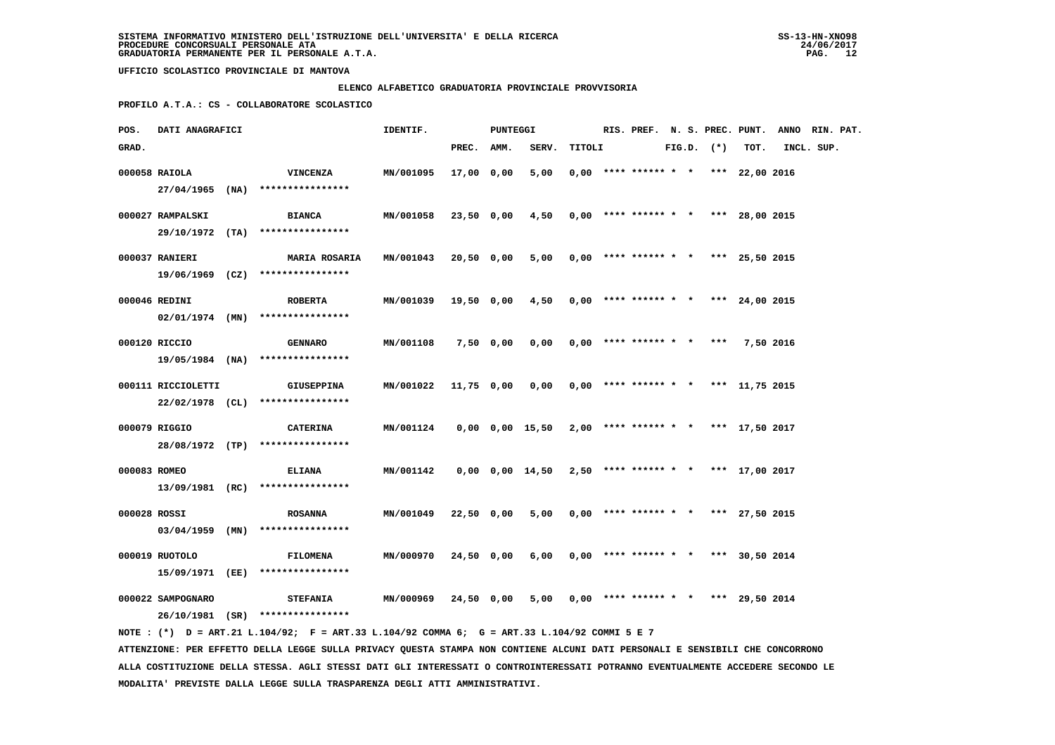### **ELENCO ALFABETICO GRADUATORIA PROVINCIALE PROVVISORIA**

 **PROFILO A.T.A.: CS - COLLABORATORE SCOLASTICO**

| POS.         | <b>DATI ANAGRAFICI</b> |                                                                                             | IDENTIF.         |            | PUNTEGGI  |                                                           |        |                                       |  |                |           | RIS. PREF. N. S. PREC. PUNT. ANNO RIN. PAT. |  |
|--------------|------------------------|---------------------------------------------------------------------------------------------|------------------|------------|-----------|-----------------------------------------------------------|--------|---------------------------------------|--|----------------|-----------|---------------------------------------------|--|
| GRAD.        |                        |                                                                                             |                  | PREC. AMM. |           | SERV.                                                     | TITOLI |                                       |  | $FIG.D.$ $(*)$ | TOT.      | INCL. SUP.                                  |  |
|              | 000058 RAIOLA          | <b>VINCENZA</b><br>$27/04/1965$ (NA) ****************                                       | MN/001095        | 17,00 0,00 |           | 5,00                                                      |        | $0,00$ **** ****** * * *** 22,00 2016 |  |                |           |                                             |  |
|              | 000027 RAMPALSKI       | <b>BIANCA</b>                                                                               | MN/001058        | 23,50 0,00 |           | 4,50                                                      |        | $0,00$ **** ****** * * *** 28,00 2015 |  |                |           |                                             |  |
|              |                        | 29/10/1972 (TA) ****************                                                            |                  |            |           |                                                           |        |                                       |  |                |           |                                             |  |
|              | 000037 RANIERI         | <b>MARIA ROSARIA</b><br>19/06/1969 (CZ) ****************                                    | MN/001043        | 20,50 0,00 |           | $5,00$ 0,00 **** ****** * * *** 25,50 2015                |        |                                       |  |                |           |                                             |  |
|              | 000046 REDINI          | <b>ROBERTA</b><br>$02/01/1974$ (MN) ****************                                        | <b>MN/001039</b> | 19,50 0,00 |           | 4,50                                                      |        | $0,00$ **** ****** * * *** 24,00 2015 |  |                |           |                                             |  |
|              | 000120 RICCIO          | <b>GENNARO</b>                                                                              | MN/001108        |            | 7,50 0,00 | 0,00                                                      |        | $0,00$ **** ****** * *                |  | ***            | 7,50 2016 |                                             |  |
|              |                        | 19/05/1984 (NA) ****************                                                            |                  |            |           |                                                           |        |                                       |  |                |           |                                             |  |
|              | 000111 RICCIOLETTI     | <b>GIUSEPPINA</b><br>22/02/1978 (CL) ****************                                       | MN/001022        | 11,75 0,00 |           | 0,00                                                      |        | $0,00$ **** ****** * * *** 11,75 2015 |  |                |           |                                             |  |
|              | 000079 RIGGIO          | <b>CATERINA</b><br>28/08/1972 (TP) ****************                                         | MN/001124        |            |           | 0,00 0,00 15,50                                           |        | $2,00$ **** ****** * * *** 17,50 2017 |  |                |           |                                             |  |
| 000083 ROMEO |                        | <b>ELIANA</b><br>13/09/1981 (RC) ****************                                           | MN/001142        |            |           | $0,00$ $0,00$ $14,50$ $2,50$ **** ****** * *** 17,00 2017 |        |                                       |  |                |           |                                             |  |
| 000028 ROSSI |                        | <b>ROSANNA</b>                                                                              | <b>MN/001049</b> | 22,50 0,00 |           | 5,00                                                      |        | $0,00$ **** ****** * * *** 27,50 2015 |  |                |           |                                             |  |
|              | 000019 RUOTOLO         | 03/04/1959 (MN) ****************<br><b>FILOMENA</b>                                         | MN/000970        | 24,50 0,00 |           | 6,00                                                      |        | $0,00$ **** ****** * * *** 30,50 2014 |  |                |           |                                             |  |
|              |                        | 15/09/1971 (EE) ****************                                                            |                  |            |           |                                                           |        |                                       |  |                |           |                                             |  |
|              | 000022 SAMPOGNARO      | <b>STEFANIA</b><br>26/10/1981 (SR) ****************                                         | <b>MN/000969</b> | 24,50 0,00 |           | 5,00                                                      |        | $0,00$ **** ****** * * *** 29,50 2014 |  |                |           |                                             |  |
|              |                        | NOTE: (*) D = ART.21 L.104/92; F = ART.33 L.104/92 COMMA 6; G = ART.33 L.104/92 COMMI 5 E 7 |                  |            |           |                                                           |        |                                       |  |                |           |                                             |  |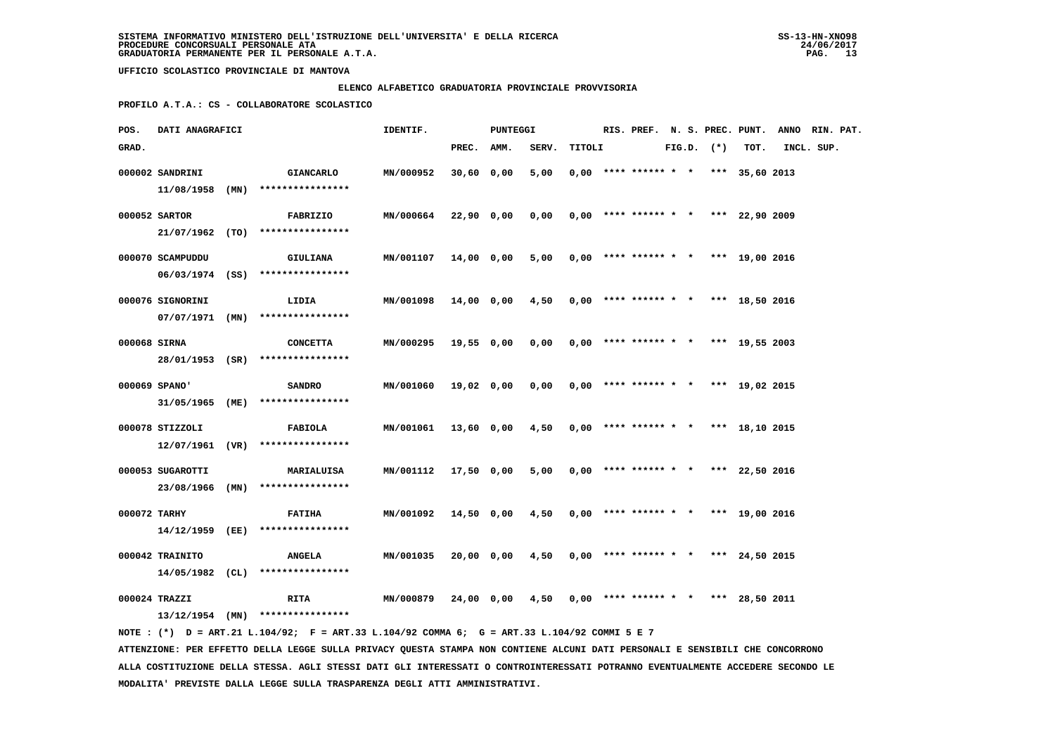### **ELENCO ALFABETICO GRADUATORIA PROVINCIALE PROVVISORIA**

 **PROFILO A.T.A.: CS - COLLABORATORE SCOLASTICO**

| POS.         | DATI ANAGRAFICI   |      |                                                                                             | IDENTIF.  |            | PUNTEGGI |       |        |  |                        |  | RIS. PREF. N. S. PREC. PUNT. |              | ANNO RIN. PAT.                        |            |  |  |
|--------------|-------------------|------|---------------------------------------------------------------------------------------------|-----------|------------|----------|-------|--------|--|------------------------|--|------------------------------|--------------|---------------------------------------|------------|--|--|
| GRAD.        |                   |      |                                                                                             |           | PREC.      | AMM.     | SERV. | TITOLI |  |                        |  |                              | FIG.D. $(*)$ | TOT.                                  | INCL. SUP. |  |  |
|              | 000002 SANDRINI   |      | <b>GIANCARLO</b>                                                                            | MN/000952 | 30,60      | 0,00     | 5,00  |        |  | $0,00$ **** ****** * * |  |                              |              | *** 35,60 2013                        |            |  |  |
|              | 11/08/1958 (MN)   |      | ****************                                                                            |           |            |          |       |        |  |                        |  |                              |              |                                       |            |  |  |
|              |                   |      |                                                                                             |           |            |          |       |        |  |                        |  |                              |              |                                       |            |  |  |
|              | 000052 SARTOR     |      | FABRIZIO                                                                                    | MN/000664 | 22,90 0,00 |          | 0,00  |        |  |                        |  |                              |              | $0,00$ **** ****** * * *** 22,90 2009 |            |  |  |
|              |                   |      | $21/07/1962$ (TO) ****************                                                          |           |            |          |       |        |  |                        |  |                              |              |                                       |            |  |  |
|              | 000070 SCAMPUDDU  |      | <b>GIULIANA</b>                                                                             | MN/001107 | 14,00 0,00 |          | 5,00  |        |  |                        |  |                              |              | $0.00$ **** ****** * * *** 19.00 2016 |            |  |  |
|              |                   |      | 06/03/1974 (SS) ****************                                                            |           |            |          |       |        |  |                        |  |                              |              |                                       |            |  |  |
|              | 000076 SIGNORINI  |      | LIDIA                                                                                       | MN/001098 | 14,00 0,00 |          | 4,50  |        |  |                        |  |                              |              | $0,00$ **** ****** * * *** 18,50 2016 |            |  |  |
|              | $07/07/1971$ (MN) |      | ****************                                                                            |           |            |          |       |        |  |                        |  |                              |              |                                       |            |  |  |
|              |                   |      |                                                                                             |           |            |          |       |        |  |                        |  |                              |              |                                       |            |  |  |
| 000068 SIRNA |                   |      | <b>CONCETTA</b>                                                                             | MN/000295 | 19,55 0,00 |          | 0,00  |        |  | $0,00$ **** ****** * * |  |                              |              | *** 19,55 2003                        |            |  |  |
|              |                   |      | 28/01/1953 (SR) ****************                                                            |           |            |          |       |        |  |                        |  |                              |              |                                       |            |  |  |
|              | 000069 SPANO'     |      | <b>SANDRO</b>                                                                               | MN/001060 | 19,02 0,00 |          | 0,00  |        |  | $0.00$ **** ****** * * |  |                              |              | *** 19,02 2015                        |            |  |  |
|              | 31/05/1965 (ME)   |      | ****************                                                                            |           |            |          |       |        |  |                        |  |                              |              |                                       |            |  |  |
|              |                   |      |                                                                                             |           |            |          |       |        |  |                        |  |                              |              |                                       |            |  |  |
|              | 000078 STIZZOLI   |      | FABIOLA                                                                                     | MN/001061 | 13,60 0,00 |          | 4,50  |        |  |                        |  |                              |              | $0,00$ **** ****** * * *** 18,10 2015 |            |  |  |
|              | 12/07/1961 (VR)   |      | ****************                                                                            |           |            |          |       |        |  |                        |  |                              |              |                                       |            |  |  |
|              | 000053 SUGAROTTI  |      | MARIALUISA                                                                                  | MN/001112 | 17,50 0,00 |          | 5,00  |        |  |                        |  |                              |              | $0,00$ **** ****** * * *** 22,50 2016 |            |  |  |
|              | 23/08/1966        | (MN) | ****************                                                                            |           |            |          |       |        |  |                        |  |                              |              |                                       |            |  |  |
|              |                   |      |                                                                                             |           |            |          |       |        |  |                        |  |                              |              |                                       |            |  |  |
| 000072 TARHY | 14/12/1959 (EE)   |      | <b>FATIHA</b><br>****************                                                           | MN/001092 | 14,50 0,00 |          | 4,50  |        |  |                        |  |                              |              | $0,00$ **** ****** * * *** 19,00 2016 |            |  |  |
|              |                   |      |                                                                                             |           |            |          |       |        |  |                        |  |                              |              |                                       |            |  |  |
|              | 000042 TRAINITO   |      | <b>ANGELA</b>                                                                               | MN/001035 | 20,00 0,00 |          | 4,50  |        |  | $0,00$ **** ****** * * |  |                              |              | *** 24,50 2015                        |            |  |  |
|              | 14/05/1982 (CL)   |      | ****************                                                                            |           |            |          |       |        |  |                        |  |                              |              |                                       |            |  |  |
|              | 000024 TRAZZI     |      | RITA                                                                                        | MN/000879 | 24,00 0,00 |          | 4,50  |        |  | $0.00$ **** ****** * * |  |                              |              | *** 28,50 2011                        |            |  |  |
|              |                   |      | $13/12/1954$ (MN) ****************                                                          |           |            |          |       |        |  |                        |  |                              |              |                                       |            |  |  |
|              |                   |      | NOTE: (*) D = ART.21 L.104/92; F = ART.33 L.104/92 COMMA 6; G = ART.33 L.104/92 COMMI 5 E 7 |           |            |          |       |        |  |                        |  |                              |              |                                       |            |  |  |